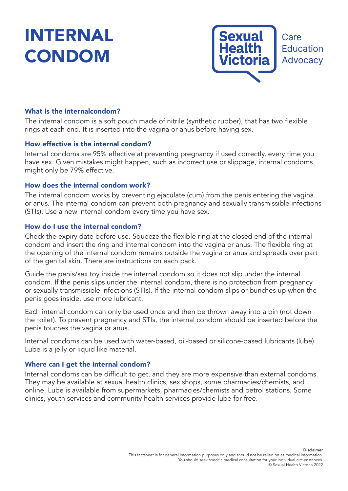# INTERNAL CONDOM



## What is the internalcondom?

The internal condom is a soft pouch made of nitrile (synthetic rubber), that has two flexible rings at each end. It is inserted into the vagina or anus before having sex.

#### How effective is the internal condom?

Internal condoms are 95% effective at preventing pregnancy if used correctly, every time you have sex. Given mistakes might happen, such as incorrect use or slippage, internal condoms might only be 79% effective.

## How does the internal condom work?

The internal condom works by preventing ejaculate (cum) from the penis entering the vagina or anus. The internal condom can prevent both pregnancy and sexually transmissible infections (STIs). Use a new internal condom every time you have sex.

## How do I use the internal condom?

Check the expiry date before use. Squeeze the flexible ring at the closed end of the internal condom and insert the ring and internal condom into the vagina or anus. The flexible ring at the opening of the internal condom remains outside the vagina or anus and spreads over part of the genital skin. There are instructions on each pack.

Guide the penis/sex toy inside the internal condom so it does not slip under the internal condom. If the penis slips under the internal condom, there is no protection from pregnancy or sexually transmissible infections (STIs). If the internal condom slips or bunches up when the penis goes inside, use more lubricant.

Each internal condom can only be used once and then be thrown away into a bin (not down the toilet). To prevent pregnancy and STIs, the internal condom should be inserted before the penis touches the vagina or anus.

Internal condoms can be used with water-based, oil-based or silicone-based lubricants (lube). Lube is a jelly or liquid like material.

## Where can I get the internal condom?

Internal condoms can be difficult to get, and they are more expensive than external condoms. They may be available at sexual health clinics, sex shops, some pharmacies/chemists, and online. Lube is available from supermarkets, pharmacies/chemists and petrol stations. Some clinics, youth services and community health services provide lube for free.